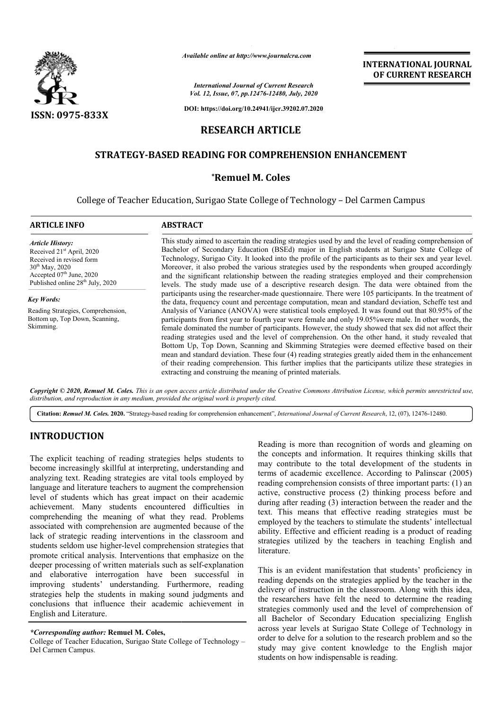

*Available online at http://www.journalcra.com*

*International Journal of Current Research Vol. 12, Issue, 07, pp.12476-12480, July, 2020*

**DOI: https://doi.org/10.24941/ijcr.39202.07.2020**

# **RESEARCH ARTICLE**

# **STRATEGY-BASED READING FOR COMPREHENSION ENHANCEMENT**

### **\*Remuel M. Coles**

College of Teacher Education, Surigao State College of Technology - Del Carmen Campus

| <b>ARTICLE INFO</b>                                                                                                                                                                                                              | <b>ABSTRACT</b>                                                                                                                                                                                                                                                                                                                                                                                                                                                                                                                                                                                                                                                                                                                                                                                         |  |  |  |  |
|----------------------------------------------------------------------------------------------------------------------------------------------------------------------------------------------------------------------------------|---------------------------------------------------------------------------------------------------------------------------------------------------------------------------------------------------------------------------------------------------------------------------------------------------------------------------------------------------------------------------------------------------------------------------------------------------------------------------------------------------------------------------------------------------------------------------------------------------------------------------------------------------------------------------------------------------------------------------------------------------------------------------------------------------------|--|--|--|--|
| <b>Article History:</b><br>Received 21 <sup>st</sup> April, 2020<br>Received in revised form<br>$30^{th}$ May, 2020<br>Accepted 07 <sup>th</sup> June, 2020<br>Published online 28 <sup>th</sup> July, 2020<br><b>Key Words:</b> | This study aimed to ascertain the reading strategies used by and the level of reading comprehension of<br>Bachelor of Secondary Education (BSEd) major in English students at Surigao State College of<br>Technology, Surigao City. It looked into the profile of the participants as to their sex and year level.<br>Moreover, it also probed the various strategies used by the respondents when grouped accordingly<br>and the significant relationship between the reading strategies employed and their comprehension<br>levels. The study made use of a descriptive research design. The data were obtained from the                                                                                                                                                                              |  |  |  |  |
|                                                                                                                                                                                                                                  | participants using the researcher-made questionnaire. There were 105 participants. In the treatment of<br>the data, frequency count and percentage computation, mean and standard deviation, Scheffe test and                                                                                                                                                                                                                                                                                                                                                                                                                                                                                                                                                                                           |  |  |  |  |
| Reading Strategies, Comprehension,<br>Bottom up, Top Down, Scanning,<br>Skimming.                                                                                                                                                | Analysis of Variance (ANOVA) were statistical tools employed. It was found out that 80.95% of the<br>participants from first year to fourth year were female and only 19.05% were male. In other words, the<br>female dominated the number of participants. However, the study showed that sex did not affect their<br>reading strategies used and the level of comprehension. On the other hand, it study revealed that<br>Bottom Up, Top Down, Scanning and Skimming Strategies were deemed effective based on their<br>mean and standard deviation. These four (4) reading strategies greatly aided them in the enhancement<br>of their reading comprehension. This further implies that the participants utilize these strategies in<br>extracting and construing the meaning of printed materials. |  |  |  |  |

Copyright © 2020, Remuel M. Coles. This is an open access article distributed under the Creative Commons Attribution License, which permits unrestricted use, *distribution, and reproduction in any medium, provided the original work is properly cited.*

Citation: Remuel M. Coles. 2020. "Strategy-based reading for comprehension enhancement", *International Journal of Current Research*, 12, (07), 12476-12480.

# **INTRODUCTION**

The explicit teaching of reading strategies helps students to become increasingly skillful at interpreting, understanding and analyzing text. Reading strategies are vital tools employed by language and literature teachers to augment the comprehension level of students which has great impact on their academic achievement. Many students encountered difficulties in comprehending the meaning of what they read. Problems associated with comprehension are augmented because of the lack of strategic reading interventions in the classroom and students seldom use higher-level comprehension strategies that promote critical analysis. Interventions that emphasize on the deeper processing of written materials such as self-explanation and elaborative interrogation have been successful in improving students' understanding. Furthermore, reading strategies help the students in making sound judgments and conclusions that influence their academic achievement in English and Literature.

#### *\*Corresponding author:* **Remuel M. Coles,**

College of Teacher Education, Surigao State College of Technology – Del Carmen Campus.

Reading is more than recognition of words and gleaming on the concepts and information. It requires thinking skills that may contribute to the total development of the students in terms of academic excellence. According to Palinscar (2005) reading comprehension consists of three important parts: (1) an active, constructive process (2) thinking process before and during after reading (3) interaction between the reader and the text. This means that effective reading strategies must be employed by the teachers to stimulate the students' intellectual ability. Effective and efficient reading is a product of reading strategies utilized by the teachers in teaching English and literature.

**INTERNATIONAL JOURNAL OF CURRENT RESEARCH**

This is an evident manifestation that students' proficiency in reading depends on the strategies applied by the teacher in the delivery of instruction in the classroom. Along with this idea, the researchers have felt the need to determine the reading strategies commonly used and the level of comprehension of all Bachelor of Secondary Education specializing English across year levels at Surigao State College of Technology in order to delve for a solution to the research problem and so the study may give content knowledge to the English major students on how indispensable is reading.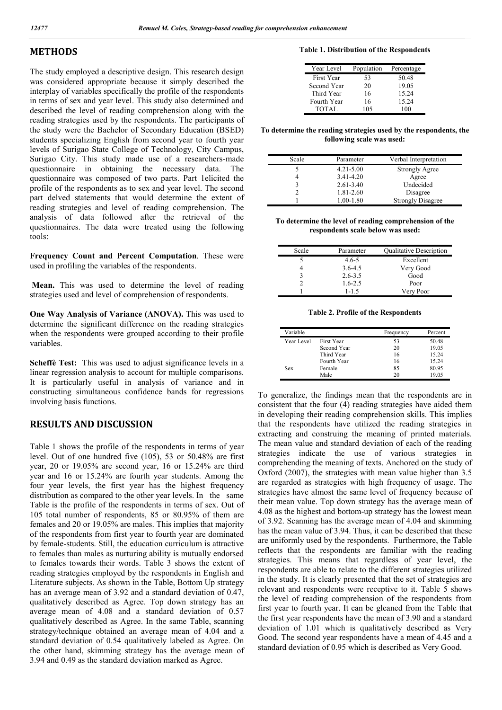### **METHODS**

The study employed a descriptive design. This research design was considered appropriate because it simply described the interplay of variables specifically the profile of the respondents in terms of sex and year level. This study also determined and described the level of reading comprehension along with the reading strategies used by the respondents. The participants of the study were the Bachelor of Secondary Education (BSED) students specializing English from second year to fourth year levels of Surigao State College of Technology, City Campus, Surigao City. This study made use of a researchers-made questionnaire in obtaining the necessary data. The questionnaire was composed of two parts. Part 1elicited the profile of the respondents as to sex and year level. The second part delved statements that would determine the extent of reading strategies and level of reading comprehension. The analysis of data followed after the retrieval of the questionnaires. The data were treated using the following tools:

**Frequency Count and Percent Computation**. These were used in profiling the variables of the respondents.

**Mean.** This was used to determine the level of reading strategies used and level of comprehension of respondents.

**One Way Analysis of Variance (ANOVA).** This was used to determine the significant difference on the reading strategies when the respondents were grouped according to their profile variables.

**Scheffè Test:** This was used to adjust significance levels in a linear regression analysis to account for multiple comparisons. It is particularly useful in analysis of variance and in constructing simultaneous confidence bands for regressions involving basis functions.

## **RESULTS AND DISCUSSION**

Table 1 shows the profile of the respondents in terms of year level. Out of one hundred five (105), 53 or 50.48% are first year, 20 or 19.05% are second year, 16 or 15.24% are third year and 16 or 15.24% are fourth year students. Among the four year levels, the first year has the highest frequency distribution as compared to the other year levels. In the same Table is the profile of the respondents in terms of sex. Out of 105 total number of respondents, 85 or 80.95% of them are females and 20 or 19.05% are males. This implies that majority of the respondents from first year to fourth year are dominated by female-students. Still, the education curriculum is attractive to females than males as nurturing ability is mutually endorsed to females towards their words. Table 3 shows the extent of reading strategies employed by the respondents in English and Literature subjects. As shown in the Table, Bottom Up strategy has an average mean of 3.92 and a standard deviation of 0.47, qualitatively described as Agree. Top down strategy has an average mean of 4.08 and a standard deviation of 0.57 qualitatively described as Agree. In the same Table, scanning strategy/technique obtained an average mean of 4.04 and a standard deviation of 0.54 qualitatively labeled as Agree. On the other hand, skimming strategy has the average mean of 3.94 and 0.49 as the standard deviation marked as Agree.

| Year Level  | Population | Percentage |
|-------------|------------|------------|
| First Year  | 53         | 50.48      |
| Second Year | 20         | 19.05      |
| Third Year  | 16         | 15.24      |
| Fourth Year | 16         | 15.24      |
| TOTAL       | 105        | 100        |

**To determine the reading strategies used by the respondents, the following scale was used:**

| Scale | Parameter     | Verbal Interpretation    |
|-------|---------------|--------------------------|
|       | $4.21 - 5.00$ | <b>Strongly Agree</b>    |
|       | 3.41-4.20     | Agree                    |
|       | $2.61 - 3.40$ | Undecided                |
|       | 1.81-2.60     | Disagree                 |
|       | 1.00-1.80     | <b>Strongly Disagree</b> |

**To determine the level of reading comprehension of the respondents scale below was used:**

| Scale | Parameter   | <b>Qualitative Description</b> |
|-------|-------------|--------------------------------|
|       | $4.6 - 5$   | Excellent                      |
|       | $3.6 - 4.5$ | Very Good                      |
|       | $2.6 - 3.5$ | Good                           |
|       | $1.6 - 2.5$ | Poor                           |
|       | $1 - 1.5$   | Very Poor                      |

**Table 2. Profile of the Respondents**

| Variable   |             | Frequency | Percent |
|------------|-------------|-----------|---------|
| Year Level | First Year  | 53        | 50.48   |
|            | Second Year | 20        | 19.05   |
|            | Third Year  | 16        | 15.24   |
|            | Fourth Year | 16        | 15.24   |
| Sex        | Female      | 85        | 80.95   |
|            | Male        |           | 19.05   |

To generalize, the findings mean that the respondents are in consistent that the four (4) reading strategies have aided them in developing their reading comprehension skills. This implies that the respondents have utilized the reading strategies in extracting and construing the meaning of printed materials. The mean value and standard deviation of each of the reading strategies indicate the use of various strategies in comprehending the meaning of texts. Anchored on the study of Oxford (2007), the strategies with mean value higher than 3.5 are regarded as strategies with high frequency of usage. The strategies have almost the same level of frequency because of their mean value. Top down strategy has the average mean of 4.08 as the highest and bottom-up strategy has the lowest mean of 3.92. Scanning has the average mean of 4.04 and skimming has the mean value of 3.94. Thus, it can be described that these are uniformly used by the respondents. Furthermore, the Table reflects that the respondents are familiar with the reading strategies. This means that regardless of year level, the respondents are able to relate to the different strategies utilized in the study. It is clearly presented that the set of strategies are relevant and respondents were receptive to it. Table 5 shows the level of reading comprehension of the respondents from first year to fourth year. It can be gleaned from the Table that the first year respondents have the mean of 3.90 and a standard deviation of 1.01 which is qualitatively described as Very Good. The second year respondents have a mean of 4.45 and a standard deviation of 0.95 which is described as Very Good.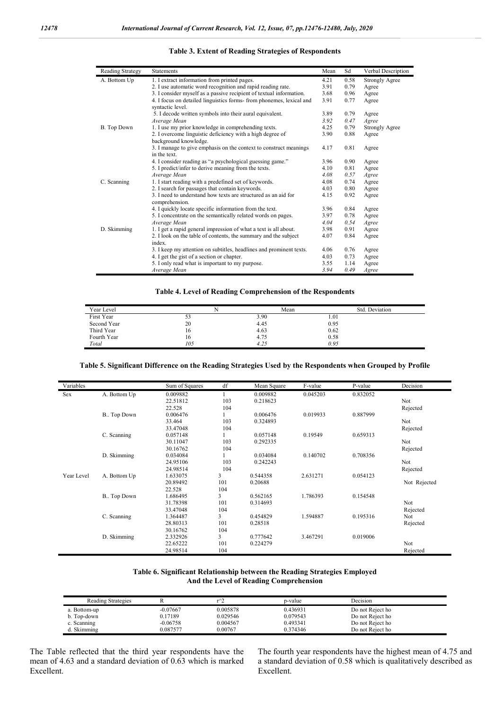| Reading Strategy | <b>Statements</b>                                                                       | Mean | Sd   | Verbal Description    |
|------------------|-----------------------------------------------------------------------------------------|------|------|-----------------------|
| A. Bottom Up     | 1. I extract information from printed pages.                                            | 4.21 | 0.58 | <b>Strongly Agree</b> |
|                  | 2. I use automatic word recognition and rapid reading rate.                             | 3.91 | 0.79 | Agree                 |
|                  | 3. I consider myself as a passive recipient of textual information.                     | 3.68 | 0.96 | Agree                 |
|                  | 4. I focus on detailed linguistics forms-from phonemes, lexical and<br>syntactic level. | 3.91 | 0.77 | Agree                 |
|                  | 5. I decode written symbols into their aural equivalent.                                | 3.89 | 0.79 | Agree                 |
|                  | Average Mean                                                                            | 3.92 | 0.47 | Agree                 |
| B. Top Down      | 1. I use my prior knowledge in comprehending texts.                                     | 4.25 | 0.79 | <b>Strongly Agree</b> |
|                  | 2. I overcome linguistic deficiency with a high degree of<br>background knowledge.      | 3.90 | 0.88 | Agree                 |
|                  | 3. I manage to give emphasis on the context to construct meanings<br>in the text.       | 4.17 | 0.81 | Agree                 |
|                  | 4. I consider reading as "a psychological guessing game."                               | 3.96 | 0.90 | Agree                 |
|                  | 5. I predict/infer to derive meaning from the texts.                                    | 4.10 | 0.81 | Agree                 |
|                  | Average Mean                                                                            | 4.08 | 0.57 | Agree                 |
| C. Scanning      | 1. I start reading with a predefined set of keywords.                                   | 4.08 | 0.74 | Agree                 |
|                  | 2. I search for passages that contain keywords.                                         | 4.03 | 0.80 | Agree                 |
|                  | 3. I need to understand how texts are structured as an aid for<br>comprehension.        | 4.15 | 0.92 | Agree                 |
|                  | 4. I quickly locate specific information from the text.                                 | 3.96 | 0.84 | Agree                 |
|                  | 5. I concentrate on the semantically related words on pages.                            | 3.97 | 0.78 | Agree                 |
|                  | Average Mean                                                                            | 4.04 | 0.54 | Agree                 |
| D. Skimming      | 1. I get a rapid general impression of what a text is all about.                        | 3.98 | 0.91 | Agree                 |
|                  | 2. I look on the table of contents, the summary and the subject                         | 4.07 | 0.84 | Agree                 |
|                  | index.                                                                                  |      |      |                       |
|                  | 3. I keep my attention on subtitles, headlines and prominent texts.                     | 4.06 | 0.76 | Agree                 |
|                  | 4. I get the gist of a section or chapter.                                              | 4.03 | 0.73 | Agree                 |
|                  | 5. I only read what is important to my purpose.                                         | 3.55 | 1.14 | Agree                 |
|                  | Average Mean                                                                            | 3.94 | 0.49 | Agree                 |

#### **Table 3. Extent of Reading Strategies of Respondents**

### **Table 4. Level of Reading Comprehension of the Respondents**

| Year Level  |       | Mean | Std. Deviation |
|-------------|-------|------|----------------|
| First Year  | ر_ ر_ | 3.90 | 1.01           |
| Second Year | 20    | 4.45 | 0.95           |
| Third Year  | 10    | 4.63 | 0.62           |
| Fourth Year | 10    | 4.75 | 0.58           |
| Total       | 105   | 4.25 | 0.95           |

### **Table 5. Significant Difference on the Reading Strategies Used by the Respondents when Grouped by Profile**

| Variables  |              | Sum of Squares | df             | Mean Square | F-value  | P-value  | Decision     |
|------------|--------------|----------------|----------------|-------------|----------|----------|--------------|
| Sex        | A. Bottom Up | 0.009882       |                | 0.009882    | 0.045203 | 0.832052 |              |
|            |              | 22.51812       | 103            | 0.218623    |          |          | Not          |
|            |              | 22.528         | 104            |             |          |          | Rejected     |
|            | B Top Down   | 0.006476       |                | 0.006476    | 0.019933 | 0.887999 |              |
|            |              | 33.464         | 103            | 0.324893    |          |          | Not          |
|            |              | 33.47048       | 104            |             |          |          | Rejected     |
|            | C. Scanning  | 0.057148       |                | 0.057148    | 0.19549  | 0.659313 |              |
|            |              | 30.11047       | 103            | 0.292335    |          |          | Not          |
|            |              | 30.16762       | 104            |             |          |          | Rejected     |
|            | D. Skimming  | 0.034084       |                | 0.034084    | 0.140702 | 0.708356 |              |
|            |              | 24.95106       | 103            | 0.242243    |          |          | Not          |
|            |              | 24.98514       | 104            |             |          |          | Rejected     |
| Year Level | A. Bottom Up | 1.633075       | $\overline{3}$ | 0.544358    | 2.631271 | 0.054123 |              |
|            |              | 20.89492       | 101            | 0.20688     |          |          | Not Rejected |
|            |              | 22.528         | 104            |             |          |          |              |
|            | B Top Down   | 1.686495       | 3              | 0.562165    | 1.786393 | 0.154548 |              |
|            |              | 31.78398       | 101            | 0.314693    |          |          | Not          |
|            |              | 33.47048       | 104            |             |          |          | Rejected     |
|            | C. Scanning  | 1.364487       | 3              | 0.454829    | 1.594887 | 0.195316 | Not          |
|            |              | 28.80313       | 101            | 0.28518     |          |          | Rejected     |
|            |              | 30.16762       | 104            |             |          |          |              |
|            | D. Skimming  | 2.332926       | 3              | 0.777642    | 3.467291 | 0.019006 |              |
|            |              | 22.65222       | 101            | 0.224279    |          |          | Not          |
|            |              | 24.98514       | 104            |             |          |          | Rejected     |

#### **Table 6. Significant Relationship between the Reading Strategies Employed And the Level of Reading Comprehension**

| Reading Strategies |            | $r^2$    | p-value  | Decision         |  |
|--------------------|------------|----------|----------|------------------|--|
| a. Bottom-up       | $-0.07667$ | 0.005878 | 0.436931 | Do not Reject ho |  |
| b. Top-down        | 0.17189    | 0.029546 | 0.079543 | Do not Reject ho |  |
| c. Scanning        | -0.06758   | 0.004567 | 0.493341 | Do not Reject ho |  |
| d. Skimming        | 0.087577   | 0.00767  | 0.374346 | Do not Reject ho |  |

The Table reflected that the third year respondents have the mean of 4.63 and a standard deviation of 0.63 which is marked Excellent.

The fourth year respondents have the highest mean of 4.75 and a standard deviation of 0.58 which is qualitatively described as Excellent.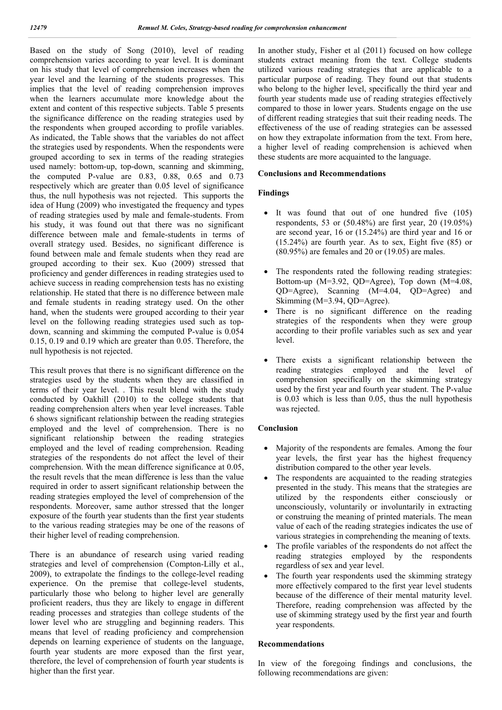Based on the study of Song (2010), level of reading comprehension varies according to year level. It is dominant on his study that level of comprehension increases when the year level and the learning of the students progresses. This implies that the level of reading comprehension improves when the learners accumulate more knowledge about the extent and content of this respective subjects. Table 5 presents the significance difference on the reading strategies used by the respondents when grouped according to profile variables. As indicated, the Table shows that the variables do not affect the strategies used by respondents. When the respondents were grouped according to sex in terms of the reading strategies used namely: bottom-up, top-down, scanning and skimming, the computed P-value are 0.83, 0.88, 0.65 and 0.73 respectively which are greater than 0.05 level of significance thus, the null hypothesis was not rejected. This supports the idea of Hung (2009) who investigated the frequency and types of reading strategies used by male and female-students. From his study, it was found out that there was no significant difference between male and female-students in terms of overall strategy used. Besides, no significant difference is found between male and female students when they read are grouped according to their sex. Kuo (2009) stressed that proficiency and gender differences in reading strategies used to achieve success in reading comprehension tests has no existing relationship. He stated that there is no difference between male and female students in reading strategy used. On the other hand, when the students were grouped according to their year level on the following reading strategies used such as topdown, scanning and skimming the computed P-value is 0.054 0.15, 0.19 and 0.19 which are greater than 0.05. Therefore, the null hypothesis is not rejected.

This result proves that there is no significant difference on the strategies used by the students when they are classified in terms of their year level. . This result blend with the study conducted by Oakhill (2010) to the college students that reading comprehension alters when year level increases. Table 6 shows significant relationship between the reading strategies employed and the level of comprehension. There is no significant relationship between the reading strategies employed and the level of reading comprehension. Reading strategies of the respondents do not affect the level of their comprehension. With the mean difference significance at 0.05, the result revels that the mean difference is less than the value required in order to assert significant relationship between the reading strategies employed the level of comprehension of the respondents. Moreover, same author stressed that the longer exposure of the fourth year students than the first year students to the various reading strategies may be one of the reasons of their higher level of reading comprehension.

There is an abundance of research using varied reading strategies and level of comprehension (Compton-Lilly et al., 2009), to extrapolate the findings to the college-level reading experience. On the premise that college-level students, particularly those who belong to higher level are generally proficient readers, thus they are likely to engage in different reading processes and strategies than college students of the lower level who are struggling and beginning readers. This means that level of reading proficiency and comprehension depends on learning experience of students on the language, fourth year students are more exposed than the first year, therefore, the level of comprehension of fourth year students is higher than the first year.

In another study, Fisher et al (2011) focused on how college students extract meaning from the text. College students utilized various reading strategies that are applicable to a particular purpose of reading. They found out that students who belong to the higher level, specifically the third year and fourth year students made use of reading strategies effectively compared to those in lower years. Students engage on the use of different reading strategies that suit their reading needs. The effectiveness of the use of reading strategies can be assessed on how they extrapolate information from the text. From here, a higher level of reading comprehension is achieved when these students are more acquainted to the language.

### **Conclusions and Recommendations**

### **Findings**

- It was found that out of one hundred five (105) respondents, 53 or (50.48%) are first year, 20 (19.05%) are second year, 16 or (15.24%) are third year and 16 or (15.24%) are fourth year. As to sex, Eight five (85) or (80.95%) are females and 20 or (19.05) are males.
- The respondents rated the following reading strategies: Bottom-up (M=3.92, QD=Agree), Top down (M=4.08, QD=Agree), Scanning (M=4.04, QD=Agree) and Skimming (M=3.94, QD=Agree).
- There is no significant difference on the reading strategies of the respondents when they were group according to their profile variables such as sex and year level.
- There exists a significant relationship between the reading strategies employed and the level of comprehension specifically on the skimming strategy used by the first year and fourth year student. The P-value is 0.03 which is less than 0.05, thus the null hypothesis was rejected.

#### **Conclusion**

- Majority of the respondents are females. Among the four year levels, the first year has the highest frequency distribution compared to the other year levels.
- The respondents are acquainted to the reading strategies presented in the study. This means that the strategies are utilized by the respondents either consciously or unconsciously, voluntarily or involuntarily in extracting or construing the meaning of printed materials. The mean value of each of the reading strategies indicates the use of various strategies in comprehending the meaning of texts.
- The profile variables of the respondents do not affect the reading strategies employed by the respondents regardless of sex and year level.
- The fourth year respondents used the skimming strategy more effectively compared to the first year level students because of the difference of their mental maturity level. Therefore, reading comprehension was affected by the use of skimming strategy used by the first year and fourth year respondents.

#### **Recommendations**

In view of the foregoing findings and conclusions, the following recommendations are given: